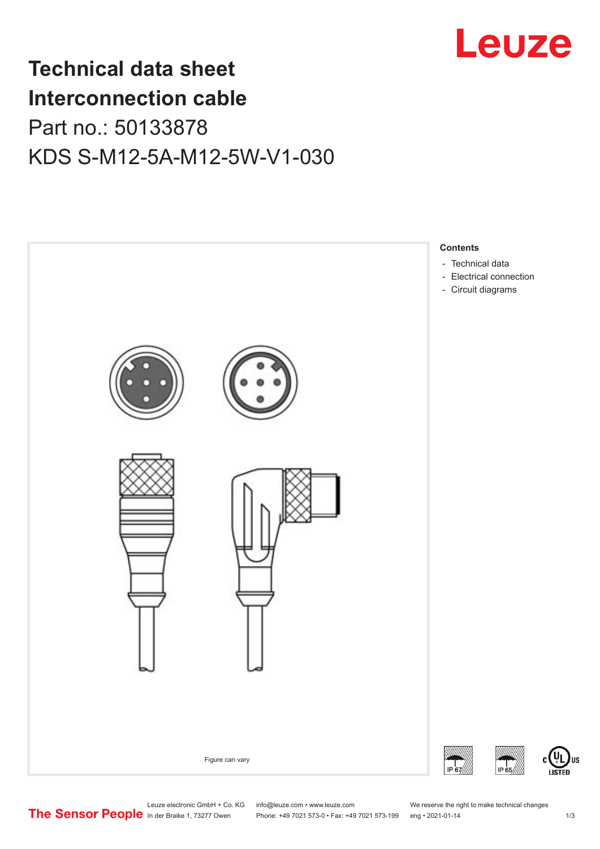

# **Technical data sheet Interconnection cable** Part no.: 50133878 KDS S-M12-5A-M12-5W-V1-030



Leuze electronic GmbH + Co. KG info@leuze.com • www.leuze.com We reserve the right to make technical changes<br>
The Sensor People in der Braike 1, 73277 Owen Phone: +49 7021 573-0 • Fax: +49 7021 573-199 eng • 2021-01-14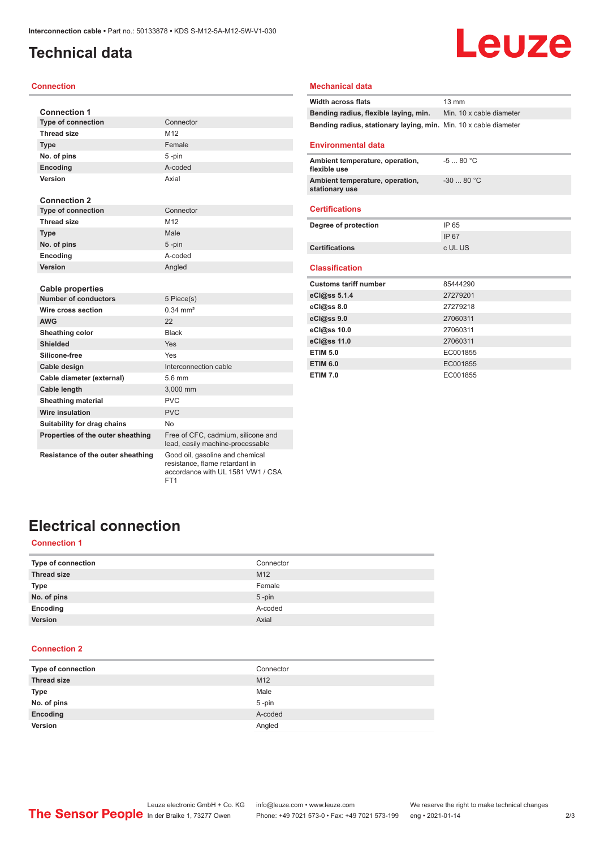### <span id="page-1-0"></span>**Technical data**

### **Connection**

| <b>Connection 1</b>               |                                                                        |
|-----------------------------------|------------------------------------------------------------------------|
| <b>Type of connection</b>         | Connector                                                              |
| <b>Thread size</b>                | M12                                                                    |
| <b>Type</b>                       | Female                                                                 |
| No. of pins                       | 5-pin                                                                  |
| Encoding                          | A-coded                                                                |
| Version                           | Axial                                                                  |
|                                   |                                                                        |
| <b>Connection 2</b>               |                                                                        |
| <b>Type of connection</b>         | Connector                                                              |
| Thread size                       | M12                                                                    |
| <b>Type</b>                       | Male                                                                   |
| No. of pins                       | 5-pin                                                                  |
| Encoding                          | A-coded                                                                |
| Version                           | Angled                                                                 |
|                                   |                                                                        |
| <b>Cable properties</b>           |                                                                        |
| <b>Number of conductors</b>       | 5 Piece(s)                                                             |
| Wire cross section                | $0.34 \, \text{mm}^2$                                                  |
| <b>AWG</b>                        | 22                                                                     |
| Sheathing color                   | <b>Black</b>                                                           |
| Shielded                          | Yes                                                                    |
| Silicone-free                     | Yes                                                                    |
| Cable design                      | Interconnection cable                                                  |
| Cable diameter (external)         | 5.6 mm                                                                 |
| Cable length                      | 3,000 mm                                                               |
| <b>Sheathing material</b>         | <b>PVC</b>                                                             |
| <b>Wire insulation</b>            | <b>PVC</b>                                                             |
| Suitability for drag chains       | No.                                                                    |
| Properties of the outer sheathing | Free of CFC, cadmium, silicone and<br>lead, easily machine-processable |

#### **Mechanical data**

| <b>Width across flats</b>                                        | $13 \text{ mm}$          |
|------------------------------------------------------------------|--------------------------|
| Bending radius, flexible laying, min.                            | Min. 10 x cable diameter |
| Bending radius, stationary laying, min. Min. 10 x cable diameter |                          |
|                                                                  |                          |
| <b>Environmental data</b>                                        |                          |
| Ambient temperature, operation,<br>flexible use                  | $-580 °C$                |
| Ambient temperature, operation,<br>stationary use                | $-3080 °C$               |
|                                                                  |                          |
| <b>Certifications</b>                                            |                          |
| Degree of protection                                             | IP 65                    |
|                                                                  | IP 67                    |
| <b>Certifications</b>                                            | c UL US                  |
|                                                                  |                          |
| <b>Classification</b>                                            |                          |
| <b>Customs tariff number</b>                                     | 85444290                 |
| eCl@ss 5.1.4                                                     | 27279201                 |
| $eC/\omega$ ss 8.0                                               | 27279218                 |
| eCl@ss 9.0                                                       | 27060311                 |
| eCl@ss 10.0                                                      | 27060311                 |
| eCl@ss 11.0                                                      | 27060311                 |
| <b>ETIM 5.0</b>                                                  | EC001855                 |
| <b>ETIM 6.0</b>                                                  | EC001855                 |
| <b>ETIM 7.0</b>                                                  | EC001855                 |

Leuze

#### **Resistance of the outer sheathing** Good oil, gasoline and chemical

resistance, flame retardant in accordance with UL 1581 VW1 / CSA FT1

## **Electrical connection**

### **Connection 1**

| Type of connection | Connector |
|--------------------|-----------|
| <b>Thread size</b> | M12       |
| <b>Type</b>        | Female    |
| No. of pins        | $5$ -pin  |
| Encoding           | A-coded   |
| Version            | Axial     |

### **Connection 2**

| Type of connection | Connector |
|--------------------|-----------|
| <b>Thread size</b> | M12       |
| <b>Type</b>        | Male      |
| No. of pins        | $5$ -pin  |
| Encoding           | A-coded   |
| Version            | Angled    |